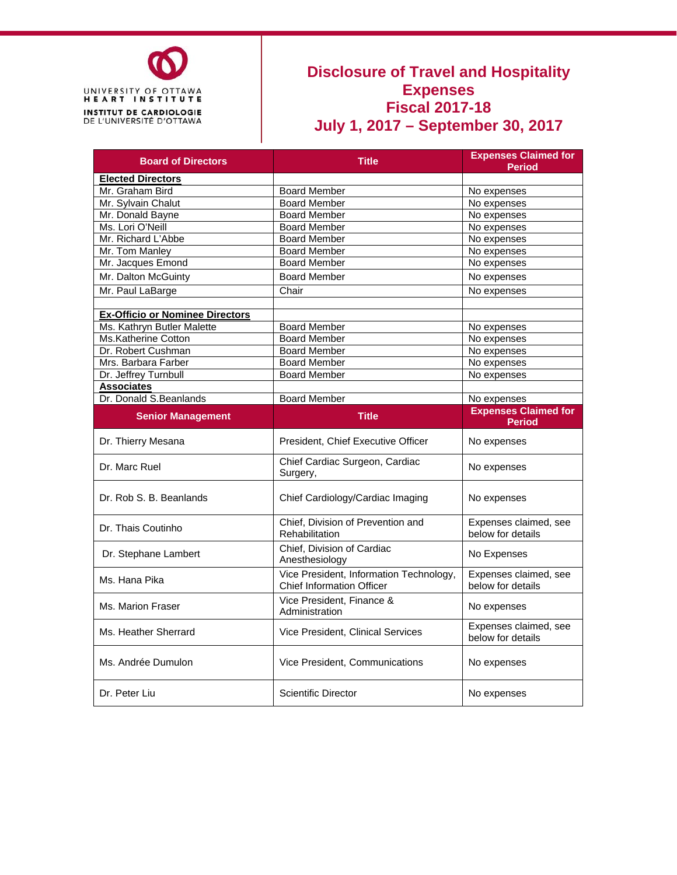

## **Disclosure of Travel and Hospitality Expenses Fiscal 2017-18 July 1, 2017 – September 30, 2017**

| <b>Board of Directors</b>              | <b>Title</b>                                                                |                                              |  |  |
|----------------------------------------|-----------------------------------------------------------------------------|----------------------------------------------|--|--|
| <b>Elected Directors</b>               |                                                                             |                                              |  |  |
| Mr. Graham Bird                        | <b>Board Member</b>                                                         | No expenses                                  |  |  |
| Mr. Sylvain Chalut                     | <b>Board Member</b>                                                         | No expenses                                  |  |  |
| Mr. Donald Bayne                       | <b>Board Member</b>                                                         | No expenses                                  |  |  |
| Ms. Lori O'Neill                       | <b>Board Member</b>                                                         | No expenses                                  |  |  |
| Mr. Richard L'Abbe                     | <b>Board Member</b>                                                         | No expenses                                  |  |  |
| Mr. Tom Manley                         | <b>Board Member</b>                                                         | No expenses                                  |  |  |
| Mr. Jacques Emond                      | <b>Board Member</b>                                                         | No expenses                                  |  |  |
| Mr. Dalton McGuinty                    | <b>Board Member</b>                                                         | No expenses                                  |  |  |
| Mr. Paul LaBarge                       | Chair                                                                       | No expenses                                  |  |  |
|                                        |                                                                             |                                              |  |  |
| <b>Ex-Officio or Nominee Directors</b> |                                                                             |                                              |  |  |
| Ms. Kathryn Butler Malette             | <b>Board Member</b>                                                         | No expenses                                  |  |  |
| Ms.Katherine Cotton                    | <b>Board Member</b>                                                         | No expenses                                  |  |  |
| Dr. Robert Cushman                     | <b>Board Member</b>                                                         | No expenses                                  |  |  |
| Mrs. Barbara Farber                    | <b>Board Member</b>                                                         | No expenses                                  |  |  |
| Dr. Jeffrey Turnbull                   | <b>Board Member</b>                                                         | No expenses                                  |  |  |
| <b>Associates</b>                      |                                                                             |                                              |  |  |
| Dr. Donald S.Beanlands                 | <b>Board Member</b>                                                         | No expenses                                  |  |  |
| <b>Senior Management</b>               | <b>Title</b>                                                                | <b>Expenses Claimed for</b><br><b>Period</b> |  |  |
| Dr. Thierry Mesana                     | President, Chief Executive Officer                                          | No expenses                                  |  |  |
| Dr. Marc Ruel                          | Chief Cardiac Surgeon, Cardiac<br>Surgery,                                  | No expenses                                  |  |  |
| Dr. Rob S. B. Beanlands                | Chief Cardiology/Cardiac Imaging                                            | No expenses                                  |  |  |
| Dr. Thais Coutinho                     | Chief, Division of Prevention and<br>Rehabilitation                         | Expenses claimed, see<br>below for details   |  |  |
| Dr. Stephane Lambert                   | Chief, Division of Cardiac<br>Anesthesiology                                | No Expenses                                  |  |  |
| Ms. Hana Pika                          | Vice President, Information Technology,<br><b>Chief Information Officer</b> | Expenses claimed, see<br>below for details   |  |  |
| Ms. Marion Fraser                      | Vice President, Finance &<br>Administration                                 | No expenses                                  |  |  |
| Ms. Heather Sherrard                   | Vice President, Clinical Services                                           | Expenses claimed, see<br>below for details   |  |  |
| Ms. Andrée Dumulon                     | Vice President, Communications                                              | No expenses                                  |  |  |
| Dr. Peter Liu                          | <b>Scientific Director</b>                                                  | No expenses                                  |  |  |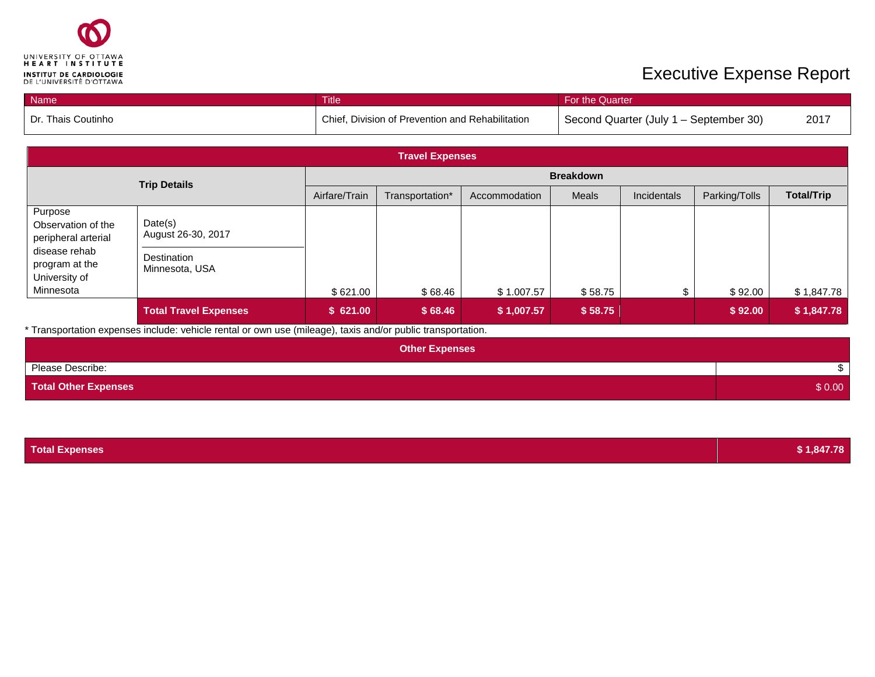

## **Executive Expense Report**

| <b>Name</b>        | Title                                            | <b>For the Quarter</b>                 |      |
|--------------------|--------------------------------------------------|----------------------------------------|------|
| Dr. Thais Coutinho | Chief, Division of Prevention and Rehabilitation | Second Quarter (July 1 – September 30) | 2017 |

| <b>Travel Expenses</b>                               |                                      |               |                  |               |              |             |               |                   |
|------------------------------------------------------|--------------------------------------|---------------|------------------|---------------|--------------|-------------|---------------|-------------------|
| <b>Trip Details</b>                                  |                                      |               | <b>Breakdown</b> |               |              |             |               |                   |
|                                                      |                                      | Airfare/Train | Transportation*  | Accommodation | <b>Meals</b> | Incidentals | Parking/Tolls | <b>Total/Trip</b> |
| Purpose<br>Observation of the<br>peripheral arterial | Date(s)<br>August 26-30, 2017        |               |                  |               |              |             |               |                   |
| disease rehab<br>program at the<br>University of     | <b>Destination</b><br>Minnesota, USA |               |                  |               |              |             |               |                   |
| Minnesota                                            |                                      | \$621.00      | \$68.46          | \$1.007.57    | \$58.75      |             | \$92.00       | \$1,847.78        |
|                                                      | <b>Total Travel Expenses</b>         | \$621.00      | \$68.46          | \$1,007.57    | \$58.75      |             | \$92.00       | \$1,847.78        |

\* Transportation expenses include: vehicle rental or own use (mileage), taxis and/or public transportation.

| <b>Other Expenses</b>       |        |
|-----------------------------|--------|
| Please Describe:            |        |
| <b>Total Other Expenses</b> | \$0.00 |

| <b>Total Expenses</b> | \$1,847.78 |
|-----------------------|------------|
|-----------------------|------------|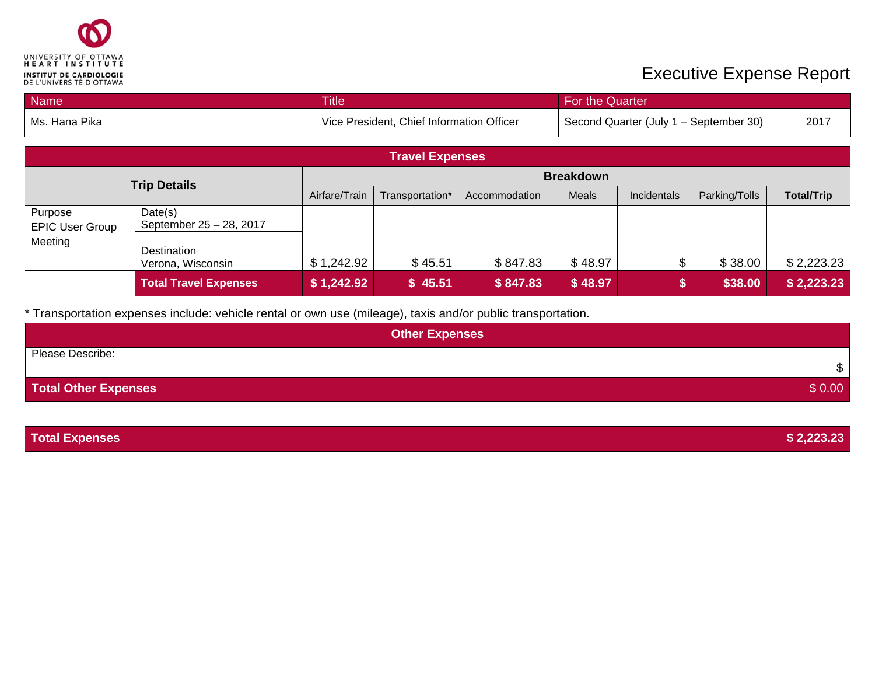

## Executive Expense Report

| Name                |                  | Title         |                                           |               | For the Quarter |                                        |               |                   |
|---------------------|------------------|---------------|-------------------------------------------|---------------|-----------------|----------------------------------------|---------------|-------------------|
| Ms. Hana Pika       |                  |               | Vice President, Chief Information Officer |               |                 | Second Quarter (July 1 - September 30) |               | 2017              |
|                     |                  |               |                                           |               |                 |                                        |               |                   |
|                     |                  |               | <b>Travel Expenses</b>                    |               |                 |                                        |               |                   |
|                     | <b>Breakdown</b> |               |                                           |               |                 |                                        |               |                   |
| <b>Trip Details</b> |                  | Airfare/Train | Transportation*                           | Accommodation | Meals           | Incidentals                            | Parking/Tolls | <b>Total/Trip</b> |
| Purpose             | Date(s)          |               |                                           |               |                 |                                        |               |                   |

|                                  | <b>Total Travel Expenses</b>       | \$1,242.92 | \$45.51 | \$847.83 | \$48.97 | \$38.00 | \$2,223.23 |
|----------------------------------|------------------------------------|------------|---------|----------|---------|---------|------------|
| Meeting                          | Destination<br>Verona, Wisconsin   | \$1,242.92 | \$45.51 | \$847.83 | \$48.97 | \$38.00 | \$2,223.23 |
| uipuse<br><b>EPIC User Group</b> | Data(3)<br>September 25 - 28, 2017 |            |         |          |         |         |            |

\* Transportation expenses include: vehicle rental or own use (mileage), taxis and/or public transportation.

| <b>Other Expenses</b> |        |  |  |  |  |
|-----------------------|--------|--|--|--|--|
| Please Describe:      | \$     |  |  |  |  |
| Total Other Expenses  | \$0.00 |  |  |  |  |

| <b>Total Expenses</b> | \$2,223.23 |
|-----------------------|------------|
|-----------------------|------------|